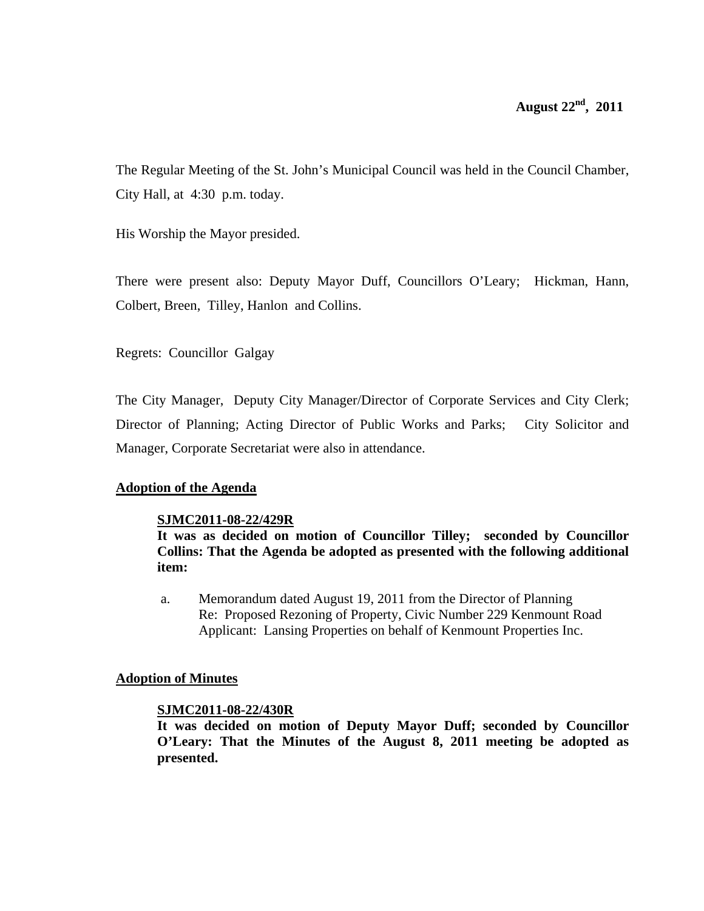The Regular Meeting of the St. John's Municipal Council was held in the Council Chamber, City Hall, at 4:30 p.m. today.

His Worship the Mayor presided.

There were present also: Deputy Mayor Duff, Councillors O'Leary; Hickman, Hann, Colbert, Breen, Tilley, Hanlon and Collins.

Regrets: Councillor Galgay

The City Manager, Deputy City Manager/Director of Corporate Services and City Clerk; Director of Planning; Acting Director of Public Works and Parks; City Solicitor and Manager, Corporate Secretariat were also in attendance.

# **Adoption of the Agenda**

# **SJMC2011-08-22/429R**

**It was as decided on motion of Councillor Tilley; seconded by Councillor Collins: That the Agenda be adopted as presented with the following additional item:** 

a. Memorandum dated August 19, 2011 from the Director of Planning Re: Proposed Rezoning of Property, Civic Number 229 Kenmount Road Applicant: Lansing Properties on behalf of Kenmount Properties Inc.

# **Adoption of Minutes**

# **SJMC2011-08-22/430R**

**It was decided on motion of Deputy Mayor Duff; seconded by Councillor O'Leary: That the Minutes of the August 8, 2011 meeting be adopted as presented.**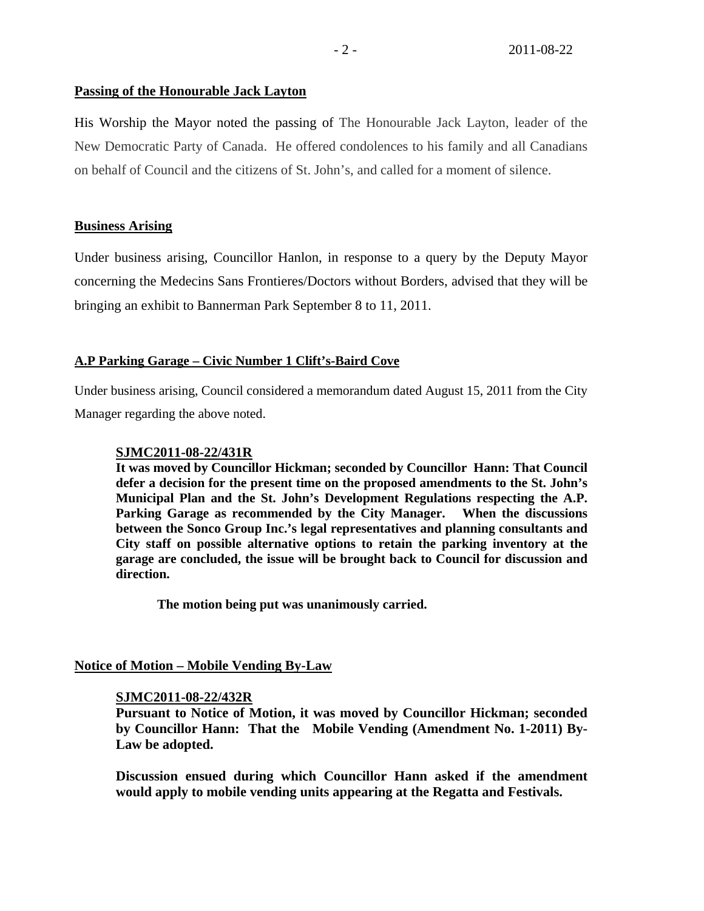# **Passing of the Honourable Jack Layton**

His Worship the Mayor noted the passing of The Honourable Jack Layton, leader of the New Democratic Party of Canada. He offered condolences to his family and all Canadians on behalf of Council and the citizens of St. John's, and called for a moment of silence.

# **Business Arising**

Under business arising, Councillor Hanlon, in response to a query by the Deputy Mayor concerning the Medecins Sans Frontieres/Doctors without Borders, advised that they will be bringing an exhibit to Bannerman Park September 8 to 11, 2011.

# **A.P Parking Garage – Civic Number 1 Clift's-Baird Cove**

Under business arising, Council considered a memorandum dated August 15, 2011 from the City Manager regarding the above noted.

### **SJMC2011-08-22/431R**

**It was moved by Councillor Hickman; seconded by Councillor Hann: That Council defer a decision for the present time on the proposed amendments to the St. John's Municipal Plan and the St. John's Development Regulations respecting the A.P. Parking Garage as recommended by the City Manager. When the discussions between the Sonco Group Inc.'s legal representatives and planning consultants and City staff on possible alternative options to retain the parking inventory at the garage are concluded, the issue will be brought back to Council for discussion and direction.** 

 **The motion being put was unanimously carried.** 

**Notice of Motion – Mobile Vending By-Law**

# **SJMC2011-08-22/432R**

**Pursuant to Notice of Motion, it was moved by Councillor Hickman; seconded by Councillor Hann: That the Mobile Vending (Amendment No. 1-2011) By-Law be adopted.** 

**Discussion ensued during which Councillor Hann asked if the amendment would apply to mobile vending units appearing at the Regatta and Festivals.**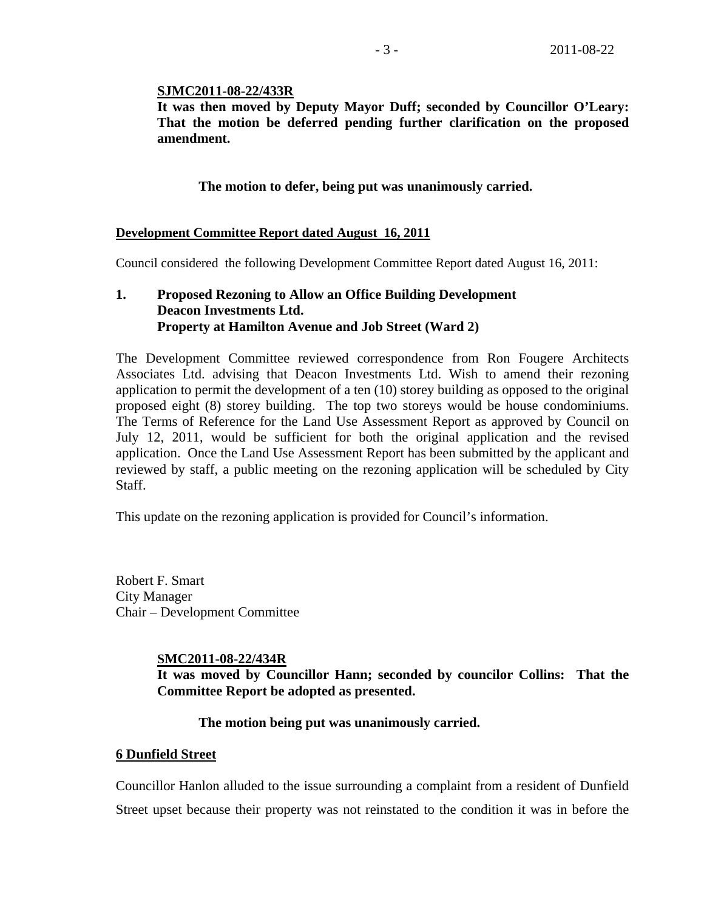### **SJMC2011-08-22/433R**

**It was then moved by Deputy Mayor Duff; seconded by Councillor O'Leary: That the motion be deferred pending further clarification on the proposed amendment.** 

### **The motion to defer, being put was unanimously carried.**

### **Development Committee Report dated August 16, 2011**

Council considered the following Development Committee Report dated August 16, 2011:

# **1. Proposed Rezoning to Allow an Office Building Development Deacon Investments Ltd. Property at Hamilton Avenue and Job Street (Ward 2)**

The Development Committee reviewed correspondence from Ron Fougere Architects Associates Ltd. advising that Deacon Investments Ltd. Wish to amend their rezoning application to permit the development of a ten (10) storey building as opposed to the original proposed eight (8) storey building. The top two storeys would be house condominiums. The Terms of Reference for the Land Use Assessment Report as approved by Council on July 12, 2011, would be sufficient for both the original application and the revised application. Once the Land Use Assessment Report has been submitted by the applicant and reviewed by staff, a public meeting on the rezoning application will be scheduled by City Staff.

This update on the rezoning application is provided for Council's information.

Robert F. Smart City Manager Chair – Development Committee

### **SMC2011-08-22/434R**

**It was moved by Councillor Hann; seconded by councilor Collins: That the Committee Report be adopted as presented.** 

### **The motion being put was unanimously carried.**

#### **6 Dunfield Street**

Councillor Hanlon alluded to the issue surrounding a complaint from a resident of Dunfield Street upset because their property was not reinstated to the condition it was in before the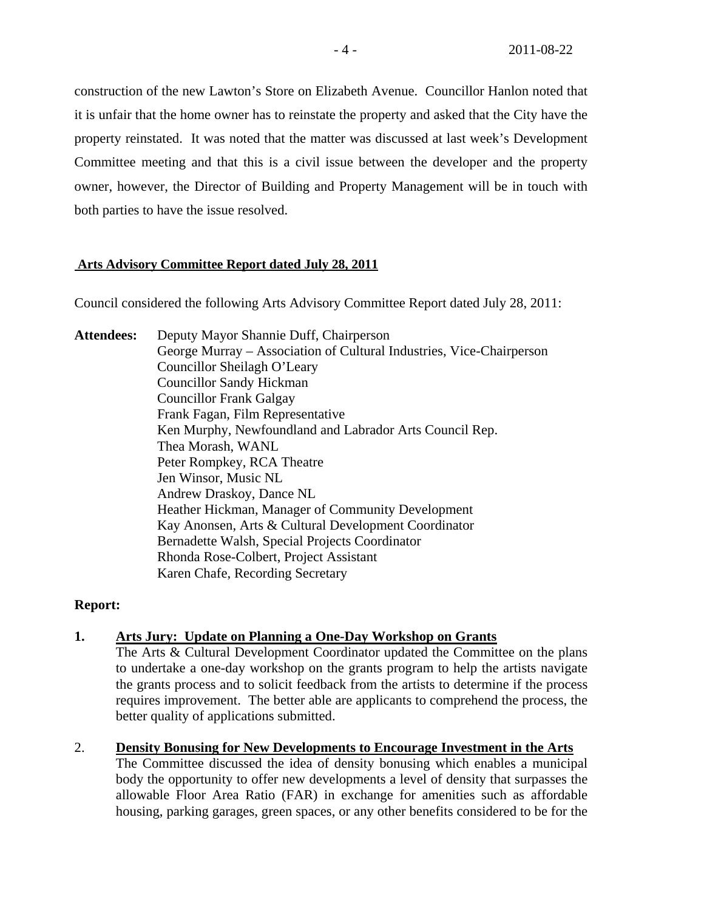construction of the new Lawton's Store on Elizabeth Avenue. Councillor Hanlon noted that it is unfair that the home owner has to reinstate the property and asked that the City have the property reinstated. It was noted that the matter was discussed at last week's Development Committee meeting and that this is a civil issue between the developer and the property owner, however, the Director of Building and Property Management will be in touch with both parties to have the issue resolved.

# **Arts Advisory Committee Report dated July 28, 2011**

Council considered the following Arts Advisory Committee Report dated July 28, 2011:

**Attendees:** Deputy Mayor Shannie Duff, Chairperson George Murray – Association of Cultural Industries, Vice-Chairperson Councillor Sheilagh O'Leary Councillor Sandy Hickman Councillor Frank Galgay Frank Fagan, Film Representative Ken Murphy, Newfoundland and Labrador Arts Council Rep. Thea Morash, WANL Peter Rompkey, RCA Theatre Jen Winsor, Music NL Andrew Draskoy, Dance NL Heather Hickman, Manager of Community Development Kay Anonsen, Arts & Cultural Development Coordinator Bernadette Walsh, Special Projects Coordinator Rhonda Rose-Colbert, Project Assistant Karen Chafe, Recording Secretary

# **Report:**

# **1. Arts Jury: Update on Planning a One-Day Workshop on Grants**

The Arts & Cultural Development Coordinator updated the Committee on the plans to undertake a one-day workshop on the grants program to help the artists navigate the grants process and to solicit feedback from the artists to determine if the process requires improvement. The better able are applicants to comprehend the process, the better quality of applications submitted.

# 2. **Density Bonusing for New Developments to Encourage Investment in the Arts**

The Committee discussed the idea of density bonusing which enables a municipal body the opportunity to offer new developments a level of density that surpasses the allowable Floor Area Ratio (FAR) in exchange for amenities such as affordable housing, parking garages, green spaces, or any other benefits considered to be for the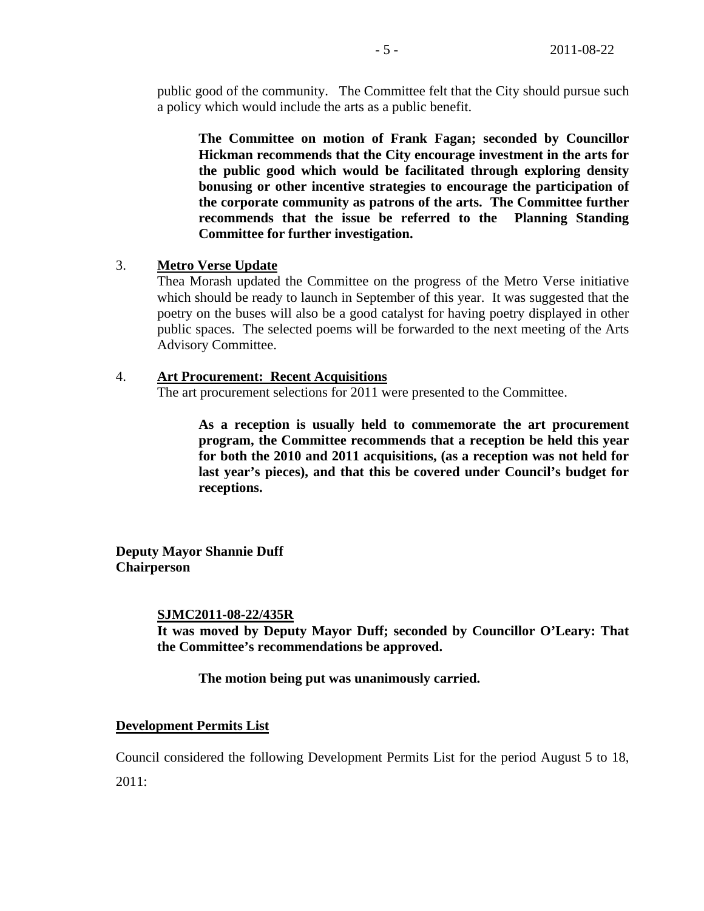public good of the community. The Committee felt that the City should pursue such a policy which would include the arts as a public benefit.

**The Committee on motion of Frank Fagan; seconded by Councillor Hickman recommends that the City encourage investment in the arts for the public good which would be facilitated through exploring density bonusing or other incentive strategies to encourage the participation of the corporate community as patrons of the arts. The Committee further recommends that the issue be referred to the Planning Standing Committee for further investigation.** 

# 3. **Metro Verse Update**

Thea Morash updated the Committee on the progress of the Metro Verse initiative which should be ready to launch in September of this year. It was suggested that the poetry on the buses will also be a good catalyst for having poetry displayed in other public spaces. The selected poems will be forwarded to the next meeting of the Arts Advisory Committee.

### 4. **Art Procurement: Recent Acquisitions**

The art procurement selections for 2011 were presented to the Committee.

**As a reception is usually held to commemorate the art procurement program, the Committee recommends that a reception be held this year for both the 2010 and 2011 acquisitions, (as a reception was not held for last year's pieces), and that this be covered under Council's budget for receptions.** 

**Deputy Mayor Shannie Duff Chairperson** 

#### **SJMC2011-08-22/435R**

**It was moved by Deputy Mayor Duff; seconded by Councillor O'Leary: That the Committee's recommendations be approved.** 

 **The motion being put was unanimously carried.** 

#### **Development Permits List**

Council considered the following Development Permits List for the period August 5 to 18, 2011: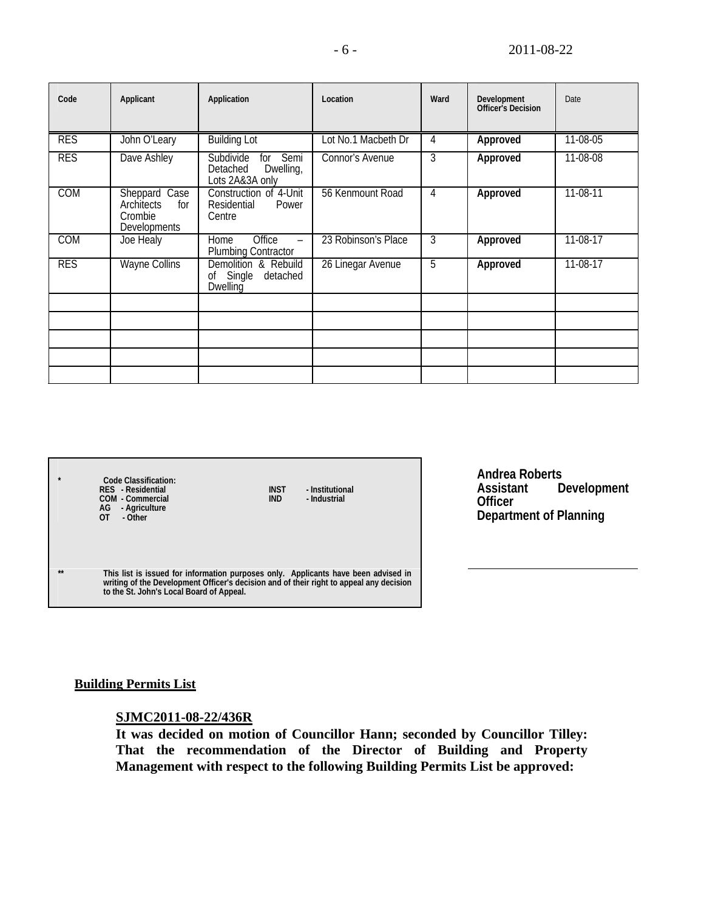| Code       | Applicant                                                            | Application                                                          | Location            | Ward | Development<br><b>Officer's Decision</b> | Date       |
|------------|----------------------------------------------------------------------|----------------------------------------------------------------------|---------------------|------|------------------------------------------|------------|
| <b>RES</b> | John O'Leary                                                         | <b>Building Lot</b>                                                  | Lot No.1 Macbeth Dr | 4    | Approved                                 | 11-08-05   |
| <b>RES</b> | Dave Ashley                                                          | Subdivide<br>Semi<br>for<br>Detached<br>Dwelling,<br>Lots 2A&3A only | Connor's Avenue     | 3    | Approved                                 | 11-08-08   |
| <b>COM</b> | Sheppard Case<br>Architects<br>for<br>Crombie<br><b>Developments</b> | Construction of 4-Unit<br>Power<br>Residential<br>Centre             | 56 Kenmount Road    | 4    | Approved                                 | $11-08-11$ |
| <b>COM</b> | Joe Healy                                                            | Office<br>Home<br>$\overline{\phantom{0}}$<br>Plumbing Contractor    | 23 Robinson's Place | 3    | Approved                                 | 11-08-17   |
| <b>RES</b> | <b>Wayne Collins</b>                                                 | Demolition & Rebuild<br>of Single<br>detached<br>Dwelling            | 26 Linegar Avenue   | 5    | Approved                                 | 11-08-17   |
|            |                                                                      |                                                                      |                     |      |                                          |            |
|            |                                                                      |                                                                      |                     |      |                                          |            |
|            |                                                                      |                                                                      |                     |      |                                          |            |
|            |                                                                      |                                                                      |                     |      |                                          |            |
|            |                                                                      |                                                                      |                     |      |                                          |            |

| $\bullet$ | Code Classification:<br>RES - Residential<br>COM - Commercial<br>AG - Agriculture<br>OT<br>- Other                                                                                                                        | <b>INST</b><br><b>IND</b> | - Institutional<br>- Industrial |  |
|-----------|---------------------------------------------------------------------------------------------------------------------------------------------------------------------------------------------------------------------------|---------------------------|---------------------------------|--|
| $***$     | This list is issued for information purposes only. Applicants have been advised in<br>writing of the Development Officer's decision and of their right to appeal any decision<br>to the St. John's Local Board of Appeal. |                           |                                 |  |

**Andrea Roberts Assistant Development Officer Department of Planning**

# **Building Permits List**

# **SJMC2011-08-22/436R**

**It was decided on motion of Councillor Hann; seconded by Councillor Tilley: That the recommendation of the Director of Building and Property Management with respect to the following Building Permits List be approved:**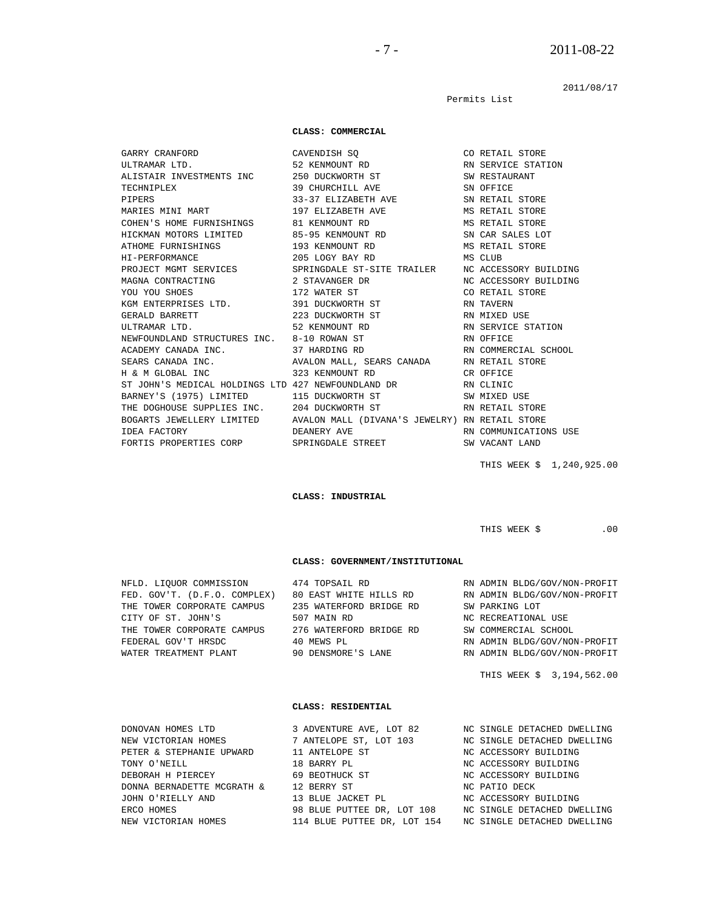2011/08/17

Permits List

#### **CLASS: COMMERCIAL**

 GARRY CRANFORD CAVENDISH SQ CO RETAIL STORE MARIES MINI MART 197 ELIZABETH AVE COHEN'S HOME FURNISHINGS 81 KENMOUNT RD NEWFOUNDLAND STRUCTURES INC. 8-10 ROWAN ST FORTIS PROPERTIES CORP SPRINGDALE STREET SW VACANT LAND

 ULTRAMAR LTD. 52 KENMOUNT RD RN SERVICE STATION ALISTAIR INVESTMENTS INC 250 DUCKWORTH ST SW RESTAURANT TECHNIPLEX 39 CHURCHILL AVE SN OFFICE<br>PIPERS 33-37 ELIZABETH AVE SN RETAIL STORE PIPERS 33-37 ELIZABETH AVE SN RETAIL STORE SN RETAIL STORE MARIES MINI MART 197 ELIZABETH AVE SN RETAIL STORE COHEN'S HOME FURNISHINGS 81 KENMOUNT RD MS RETAIL STORE HICKMAN MOTORS LIMITED 85-95 KENMOUNT RD SN CAR SALES LOT ATHOME FURNISHINGS 193 KENMOUNT RD MS RETAIL STORE HI-PERFORMANCE 205 LOGY BAY RD MS CLUB PROJECT MGMT SERVICES SPRINGDALE ST-SITE TRAILER MC ACCES SPRINGDALE ST-SITE TRAILER NC ACCESSORY BUILDING MAGNA CONTRACTING 2 STAVANGER DR NC ACCESSORY BUILDING YOU YOU SHOES THE ST CONSERVATION OF THE STORE TO A SHOES TO A LIZE WATER ST KGM ENTERPRISES LTD. 391 DUCKWORTH ST RN TAVERN GERALD BARRETT  $\begin{array}{ccc} 223 \, \text{DUCKWORTH} \text{ } ST \end{array}$  RN MIXED USE ULTRAMAR LTD. 52 KENMOUNT RD RN SERVICE STATION ACADEMY CANADA INC. 37 HARDING RD RN COMMERCIAL SCHOOL SEARS CANADA INC. AVALON MALL, SEARS CANADA RN RETAIL STORE H & M GLOBAL INC 323 KENMOUNT RD CR OFFICE ST JOHN'S MEDICAL HOLDINGS LTD 427 NEWFOUNDLAND DR RN CLINIC BARNEY'S (1975) LIMITED 115 DUCKWORTH ST SW MIXED USE THE DOGHOUSE SUPPLIES INC. 204 DUCKWORTH ST RN RETAIL STORE BOGARTS JEWELLERY LIMITED AVALON MALL (DIVANA'S JEWELRY) RN RETAIL STORE IDEA FACTORY DEANERY AVE RN COMMUNICATIONS USE

 **CLASS: INDUSTRIAL** 

THIS WEEK \$ .00

THIS WEEK \$ 1,240,925.00

#### **CLASS: GOVERNMENT/INSTITUTIONAL**

| NFLD. LIOUOR COMMISSION      | 474 TOPSAIL RD          | RN ADMIN BLDG/GOV/NON-PROFIT |
|------------------------------|-------------------------|------------------------------|
| FED. GOV'T. (D.F.O. COMPLEX) | 80 EAST WHITE HILLS RD  | RN ADMIN BLDG/GOV/NON-PROFIT |
| THE TOWER CORPORATE CAMPUS   | 235 WATERFORD BRIDGE RD | SW PARKING LOT               |
| CITY OF ST. JOHN'S           | 507 MAIN RD             | NC RECREATIONAL USE          |
| THE TOWER CORPORATE CAMPUS   | 276 WATERFORD BRIDGE RD | SW COMMERCIAL SCHOOL         |
| FEDERAL GOV'T HRSDC          | 40 MEWS PL              | RN ADMIN BLDG/GOV/NON-PROFIT |
| WATER TREATMENT PLANT        | 90 DENSMORE'S LANE      | RN ADMIN BLDG/GOV/NON-PROFIT |
|                              |                         |                              |

### THIS WEEK \$ 3,194,562.00

#### **CLASS: RESIDENTIAL**

| DONOVAN HOMES LTD          | 3 ADVENTURE AVE, LOT 82     | NC SINGLE DETACHED DWELLING |
|----------------------------|-----------------------------|-----------------------------|
| NEW VICTORIAN HOMES        | 7 ANTELOPE ST, LOT 103      | NC SINGLE DETACHED DWELLING |
| PETER & STEPHANIE UPWARD   | 11 ANTELOPE ST              | NC ACCESSORY BUILDING       |
| TONY O'NEILL               | 18 BARRY PL                 | NC ACCESSORY BUILDING       |
| DEBORAH H PIERCEY          | 69 BEOTHUCK ST              | NC ACCESSORY BUILDING       |
| DONNA BERNADETTE MCGRATH & | 12 BERRY ST                 | NC PATIO DECK               |
| JOHN O'RIELLY AND          | 13 BLUE JACKET PL           | NC ACCESSORY BUILDING       |
| ERCO HOMES                 | 98 BLUE PUTTEE DR. LOT 108  | NC SINGLE DETACHED DWELLING |
| NEW VICTORIAN HOMES        | 114 BLUE PUTTEE DR. LOT 154 | NC SINGLE DETACHED DWELLING |
|                            |                             |                             |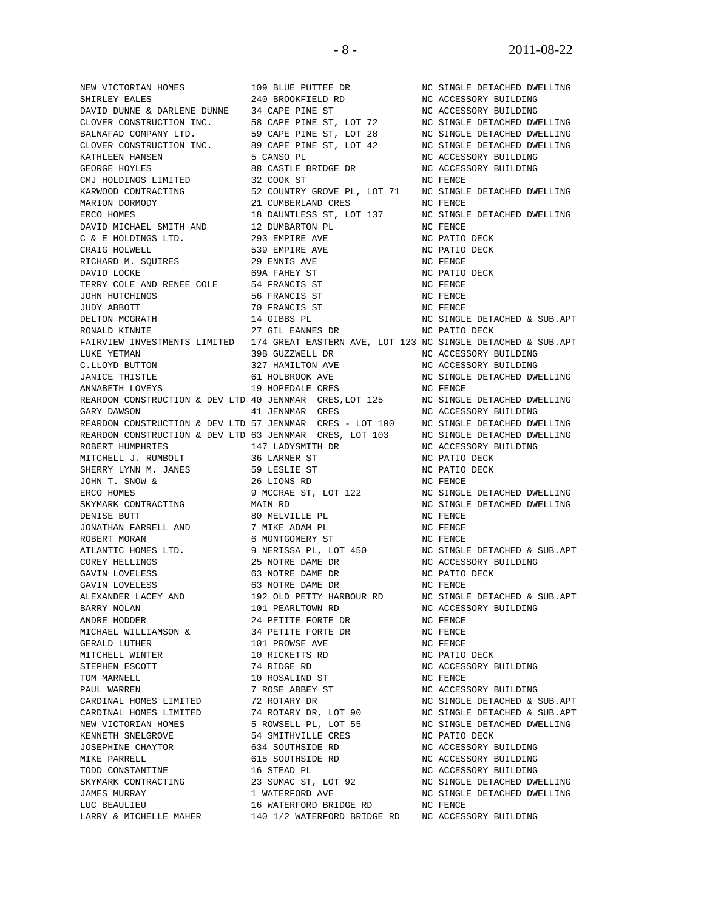SHIRLEY EALES 240 BROOKFIELD RD NC ACCESSORY BUILDING<br>
DAVID DINNE & DARLENE DINNE 34 CARE RINE ST DAVID DUNNE & DARLENE DUNNE 34 CAPE PINE ST NC ACCESSORY BUILDING<br>CLOVER CONSTRUCTION INC. 58 CAPE PINE ST, LOT 72 NC SINGLE DETACHED DWELLING CLOVER CONSTRUCTION INC. 58 CAPE PINE ST, LOT 72<br>BALNAFAD COMPANY LTD. 59 CAPE PINE ST, LOT 28 BALNAFAD COMPANY LTD. 59 CAPE PINE ST, LOT 28 NC SINGLE DETACHED DWELLING CLOVER CONSTRUCTION INC. 89 CAPE PINE ST, LOT 42 NC SINGLE DETACHED DWELLING KATHLEEN HANSEN 5 CANSO PL NC ACCESSORY BUILDING GEORGE HOYLES 88 CASTLE BRIDGE DR NC ACCESSORY BUILDING CMJ HOLDINGS LIMITED 32 COOK ST NC FENCE KARWOOD CONTRACTING 52 COUNTRY GROVE PL, LOT 71 NC SINGLE DETACHED DWELLING MARION DORMODY 21 CUMBERLAND CRES NO FENCE ERCO HOMES 18 DAUNTLESS ST, LOT 137 NC SINGLE DETACHED DWELLING DAVID MICHAEL SMITH AND 12 DUMBARTON PL NC FENCE C & E HOLDINGS LTD. 293 EMPIRE AVE NC PATIO DECK CRAIG HOLWELL **639 EMPIRE AVE NC PATIO DECK** RICHARD M. SQUIRES 29 ENNIS AVE NO FENCE DAVID LOCKE 69A FAHEY ST NC PATIO DECK TERRY COLE AND RENEE COLE 54 FRANCIS ST NO FENCE JOHN HUTCHINGS 55 ST NO RENCE JOHN HUTCHINGS JUDY ABBOTT 70 FRANCIS ST NC FENCE DELTON MCGRATH 14 GIBBS PL NC SINGLE DETACHED & SUB.APT RONALD KINNIE 27 GIL EANNES DR NC PATIO DECK FAIRVIEW INVESTMENTS LIMITED 174 GREAT EASTERN AVE, LOT 123 NC SINGLE DETACHED & SUB.APT LUKE YETMAN 39B GUZZWELL DR NC ACCESSORY BUILDING C.LLOYD BUTTON 327 HAMILTON AVE NC ACCESSORY BUILDING JANICE THISTLE 61 HOLBROOK AVE NC SINGLE DETACHED DWELLING ANNABETH LOVEYS 19 HOPEDALE CRES NC FENCE<br>REARDON CONSTRUCTION & DEV LTD 40 JENNMAR CRES, LOT 125 NC SINGLE DETACHED DWELLING REARDON CONSTRUCTION & DEV LTD 40 JENNMAR CRES, LOT 125 GARY DAWSON  $41$  JENNMAR CRES GARY DAWSON 41 JENNMAR CRES NC ACCESSORY BUILDING REARDON CONSTRUCTION & DEV LTD 57 JENNMAR CRES - LOT 100 NC SINGLE DETACHED DWELLING<br>REARDON CONSTRUCTION & DEV LTD 63 JENNMAR CRES, LOT 103 NC SINGLE DETACHED DWELLING REARDON CONSTRUCTION & DEV LTD 63 JENNMAR CRES, LOT 103 ROBERT HUMPHRIES 147 LADYSMITH DR NC ACCESSORY BUILDING MITCHELL J. RUMBOLT 36 LARNER ST NC PATIO DECK SHERRY LYNN M. JANES 59 LESLIE ST NC PATIO DECK JOHN T. SNOW & 26 LIONS RD<br>
ERCO HOMES 9 MCCRAE ST, LOT 122 ERCO HOMES 6 MORES 9 MORTAL ST, LOT 122 NO SINGLE DETACHED DWELLING<br>SKYMARK CONTRACTING MAIN RD MORTALING NO SINGLE DETACHED DWELLING DENISE BUTT 80 MELVILLE PL NC FENCE JONATHAN FARRELL AND 7 MIKE ADAM PL NC FENCE ROBERT MORAN 6 MONTGOMERY ST NC FENCE ATLANTIC HOMES LTD. 9 NERISSA PL, LOT 450 NC SINGLE DETACHED & SUB.APT COREY HELLINGS 25 NOTRE DAME DR NC ACCESSORY BUILDING GAVIN LOVELESS 63 NOTRE DAME DR NC PATIO DECK GAVIN LOVELESS 63 NOTRE DAME DR NC FENCE ALEXANDER LACEY AND 192 OLD PETTY HARBOUR RD NC SINGLE DETACHED & SUB.APT BARRY NOLAN 101 PEARLTOWN RD ANDRE HODDER 24 PETITE FORTE DR NC FENCE  $\begin{array}{lllllllllllllll} \texttt{MICHAEL} & \texttt{WILLIAMSON} & \texttt{\&} & \texttt{34 PETITE FORTE} & \texttt{DR} & \texttt{N} & \texttt{N} & \texttt{FENCE} \\ \texttt{GERALD LUTHER} & & & & 101 & \texttt{PROWSE} & \texttt{AVE} & \texttt{N} & \texttt{N} & \texttt{FENCE} \\ \end{array}$ GERALD LUTHER 101 PROWSE AVE MITCHELL WINTER 10 RICKETTS RD NC PATIO DECK STEPHEN ESCOTT 74 RIDGE RD NC ACCESSORY BUILDING TOM MARNELL 10 ROSALIND ST NC FENCE PAUL WARREN 7 ROSE ABBEY ST NC ACCESSORY BUILDING CARDINAL HOMES LIMITED 72 ROTARY DR NC SINGLE DETACHED & SUB.APT CARDINAL HOMES LIMITED 74 ROTARY DR, LOT 90 NC SINGLE DETACHED & SUB.APT NEW VICTORIAN HOMES 5 ROWSELL PL, LOT 55 NO SINGLE DETACHED DWELLING<br>KENNETH SNELGROVE 54 SMITHVILLE CRES NO PATIO DECK KENNETH SNELGROVE 54 SMITHVILLE CRES<br>
JOSEPHINE CHAYTOR 634 SOUTHSIDE RD JOSEPHINE CHAYTOR 634 SOUTHSIDE RD NC ACCESSORY BUILDING MIKE PARRELL 615 SOUTHSIDE RD NC ACCESSORY BUILDING TODD CONSTANTINE  $16$  STEAD PL NC ACCESSORY BUILDING SKYMARK CONTRACTING 23 SUMAC ST, LOT 92 NC SINGLE DETACHED DWELLING JAMES MURRAY 1 WATERFORD AVE NC SINGLE DETACHED DWELLING

 NEW VICTORIAN HOMES 109 BLUE PUTTEE DR NC SINGLE DETACHED DWELLING MAIN RD NC SINGLE DETACHED DWELLING LUC BEAULIEU 16 WATERFORD BRIDGE RD NC FENCE LARRY & MICHELLE MAHER 140 1/2 WATERFORD BRIDGE RD NC ACCESSORY BUILDING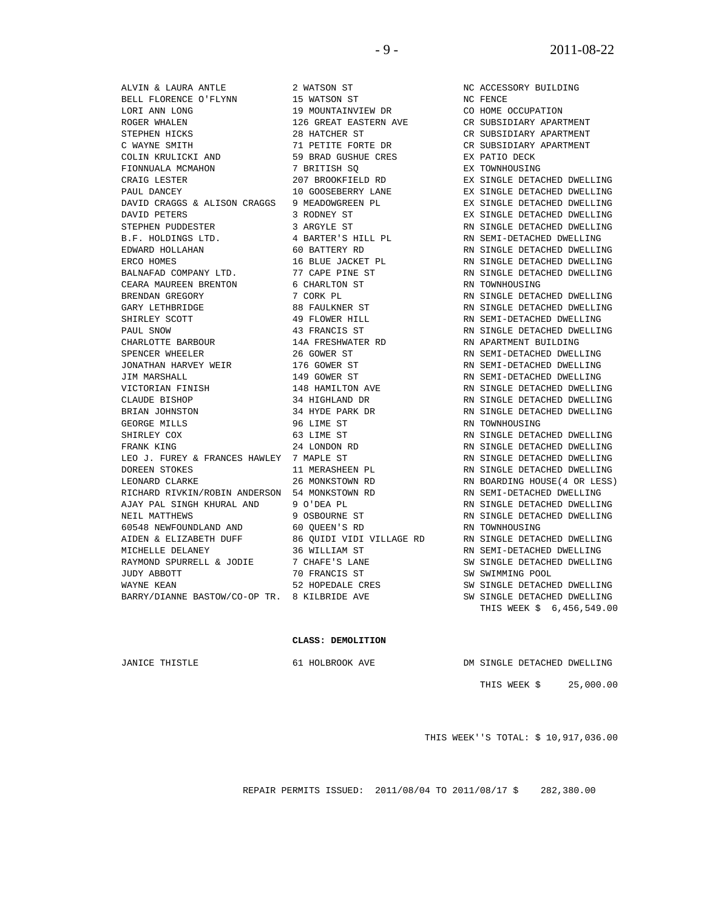BELL FLORENCE O'FLYNN 15 WATSON ST NC FENCE LORI ANN LONG 19 MOUNTAINVIEW DR<br>ROGER WHALEN 126 GREAT EASTERN AVE ROGER WHALEN 126 GREAT EASTERN AVE CR SUBSIDIARY APARTMENT STEPHEN HICKS 28 HATCHER ST CR SUBSIDIARY APARTMENT C WAYNE SMITH<br>
C WAYNE SMITH 71 PETITE FORTE DR CR SUBSIDIARY APARTMENT<br>
COLIN KRULICKI AND 59 BRAD GUSHUE CRES EX PATIO DECK FIONNUALA MCMAHON CRAIG LESTER 207 BROOKFIELD RD EX SINGLE DETACHED DWELLING PAUL DANCEY 10 GOOSEBERRY LANE EX SINGLE DETACHED DWELLING DAVID CRAGGS & ALISON CRAGGS 9 MEADOWGREEN PL EX SINGLE DETACHED DWELLING<br>DAVID PETERS 3 RODNEY ST EX SINGLE DETACHED DWELLING DAVID PETERS 3 RODNEY ST EX SINGLE DETACHED DWELLING STEPHEN PUDDESTER 3 ARGYLE ST RN SINGLE DETACHED DWELLING B.F. HOLDINGS LTD. 4 BARTER'S HILL PL RISEMI-DETACHED DWELLING EDWARD HOLLAHAN 60 BATTERY RD RN SINGLE DETACHED DWELLING ERCO HOMES 6 16 BLUE JACKET PL 6 RN SINGLE DETACHED DWELLING BALNAFAD COMPANY LTD. **77 CAPE PINE ST** RN SINGLE DETACHED DWELLING CEARA MAUREEN BRENTON 6 CHARLTON ST STRING RN TOWNHOUSING BRENDAN GREGORY **7 CORK PL RIGLE DETACHED DWELLING** GARY LETHBRIDGE 88 FAULKNER ST RN SINGLE DETACHED DWELLING SHIRLEY SCOTT 49 FLOWER HILL RN SEMI-DETACHED DWELLING PAUL SNOW **43 FRANCIS ST** RN SINGLE DETACHED DWELLING CHARLOTTE BARBOUR 14A FRESHWATER RD RN APARTMENT BUILDING SPENCER WHEELER  $\begin{array}{ccc} 26 & \text{GOWER} & \text{ST} \end{array}$  RN SEMI-DETACHED DWELLING JONATHAN HARVEY WEIR 176 GOWER ST RN SEMI-DETACHED DWELLING JIM MARSHALL 149 GOWER ST RN SEMI-DETACHED DWELLING UIM MARSHALL<br>VICTORIAN FINISH 148 HAMILTON AVE RN SINGLE DETACHED DWELLING<br>CLAUDE BISHOP 34 HIGHLAND DR RN SINGLE DETACHED DWELLING CLAUDE BISHOP 34 HIGHLAND DR RN SINGLE DETACHED DWELLING BRIAN JOHNSTON 34 HYDE PARK DR RN SINGLE DETACHED DWELLING GEORGE MILLS 96 LIME ST SHIRLEY COX 63 LIME ST RN SINGLE DETACHED DWELLING  $\begin{tabular}{lllllllllllllllllllll} \multicolumn{3}{c}{\textbf{FRANK KING}} & \multicolumn{3}{c}{24\textbf{ LONDON RD}} & \multicolumn{3}{c}{\textbf{RN}} & \multicolumn{3}{c}{\textbf{RN}} & \multicolumn{3}{c}{\textbf{SN}} & \multicolumn{3}{c}{\textbf{SN}} & \multicolumn{3}{c}{\textbf{SN}} & \multicolumn{3}{c}{\textbf{SN}} & \multicolumn{3}{c}{\textbf{SN}} & \multicolumn{3}{c}{\textbf{SN}} & \multicolumn{3}{c}{\textbf{SN}} & \multicolumn{3}{c}{\textbf{SN}} & \mult$  LEO J. FUREY & FRANCES HAWLEY 7 MAPLE ST RN SINGLE DETACHED DWELLING DOREEN STOKES 11 MERASHEEN PL LEONARD CLARKE 26 MONKSTOWN RD LEONARD CLARKE 26 MONKSTOWN RD RN BOARDING HOUSE(4 OR LESS) RICHARD RIVKIN/ROBIN ANDERSON 54 MONKSTOWN RD RN SEMI-DETACHED DWELLING AJAY PAL SINGH KHURAL AND 9 O'DEA PL NEIL MATTHEWS 9 OSBOURNE ST RN SINGLE DETACHED DWELLING 60548 NEWFOUNDLAND AND 60 QUEEN'S RD RN TOWNHOUSING AIDEN & ELIZABETH DUFF 86 QUIDI VIDI VILLAGE RD RN SINGLE DETACHED DWELLING MICHELLE DELANEY 36 WILLIAM ST RN SEMI-DETACHED DWELLING RAYMOND SPURRELL & JODIE 7 CHAFE'S LANE SW SINGLE DETACHED DWELLING JUDY ABBOTT 70 FRANCIS ST SW SWIMMING POOL WAYNE KEAN 62 HOPEDALE CRES SW SINGLE DETACHED DWELLING BARRY/DIANNE BASTOW/CO-OP TR. 8 KILBRIDE AVE SW SINGLE DETACHED DWELLING

 ALVIN & LAURA ANTLE 2 WATSON ST NC ACCESSORY BUILDING 59 BRAD GUSHUE CRES EX PATIO DECK<br>7 BRITISH SQ EX TOWNHOUSING

THIS WEEK \$ 6,456,549.00

#### **CLASS: DEMOLITION**

JANICE THISTLE 61 HOLBROOK AVE DM SINGLE DETACHED DWELLING

THIS WEEK \$ 25,000.00

THIS WEEK''S TOTAL: \$ 10,917,036.00

REPAIR PERMITS ISSUED: 2011/08/04 TO 2011/08/17 \$ 282,380.00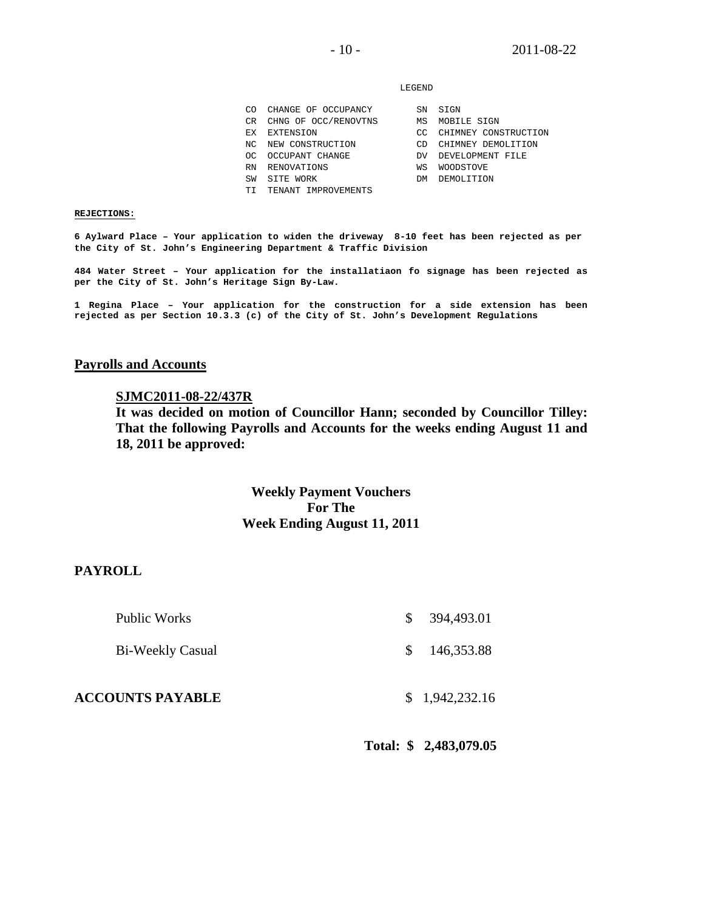#### LEGEND

|     | CO CHANGE OF OCCUPANCY  |
|-----|-------------------------|
|     | CR CHNG OF OCC/RENOVTNS |
|     | EX EXTENSION            |
|     | NC NEW CONSTRUCTION     |
| OC. | OCCUPANT CHANGE         |
|     | RN RENOVATIONS          |
|     |                         |

- 
- TI TENANT IMPROVEMENTS
- DV DEVELOPMENT FILE WS WOODSTOVE SW SITE WORK DM DEMOLITION

CC CHIMNEY CONSTRUCTION CD CHIMNEY DEMOLITION

SN SIGN MS MOBILE SIGN

#### **REJECTIONS:**

**6 Aylward Place – Your application to widen the driveway 8-10 feet has been rejected as per the City of St. John's Engineering Department & Traffic Division** 

**484 Water Street – Your application for the installatiaon fo signage has been rejected as per the City of St. John's Heritage Sign By-Law.** 

**1 Regina Place – Your application for the construction for a side extension has been rejected as per Section 10.3.3 (c) of the City of St. John's Development Regulations** 

#### **Payrolls and Accounts**

#### **SJMC2011-08-22/437R**

**It was decided on motion of Councillor Hann; seconded by Councillor Tilley: That the following Payrolls and Accounts for the weeks ending August 11 and 18, 2011 be approved:** 

# **Weekly Payment Vouchers For The Week Ending August 11, 2011**

### **PAYROLL**

| <b>ACCOUNTS PAYABLE</b> | \$1,942,232.16 |
|-------------------------|----------------|
| Bi-Weekly Casual        | \$146,353.88   |
| Public Works            | \$394,493.01   |

**Total: \$ 2,483,079.05**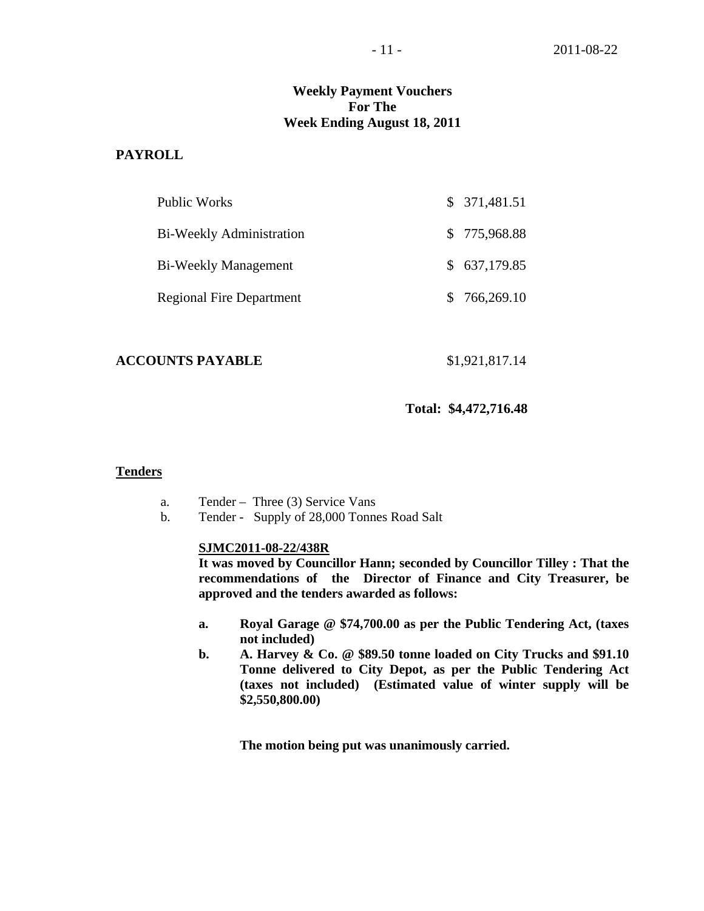# **Weekly Payment Vouchers For The Week Ending August 18, 2011**

# **PAYROLL**

| Public Works                    | \$371,481.51 |
|---------------------------------|--------------|
| Bi-Weekly Administration        | \$775,968.88 |
| <b>Bi-Weekly Management</b>     | \$637,179.85 |
| <b>Regional Fire Department</b> | \$766,269.10 |

#### **ACCOUNTS PAYABLE** \$1,921,817.14

**Total: \$4,472,716.48** 

### **Tenders**

- a. Tender Three (3) Service Vans
- b. Tender Supply of 28,000 Tonnes Road Salt

### **SJMC2011-08-22/438R**

**It was moved by Councillor Hann; seconded by Councillor Tilley : That the recommendations of the Director of Finance and City Treasurer, be approved and the tenders awarded as follows:** 

- **a. Royal Garage @ \$74,700.00 as per the Public Tendering Act, (taxes not included)**
- **b. A. Harvey & Co. @ \$89.50 tonne loaded on City Trucks and \$91.10 Tonne delivered to City Depot, as per the Public Tendering Act (taxes not included) (Estimated value of winter supply will be \$2,550,800.00)**

 **The motion being put was unanimously carried.**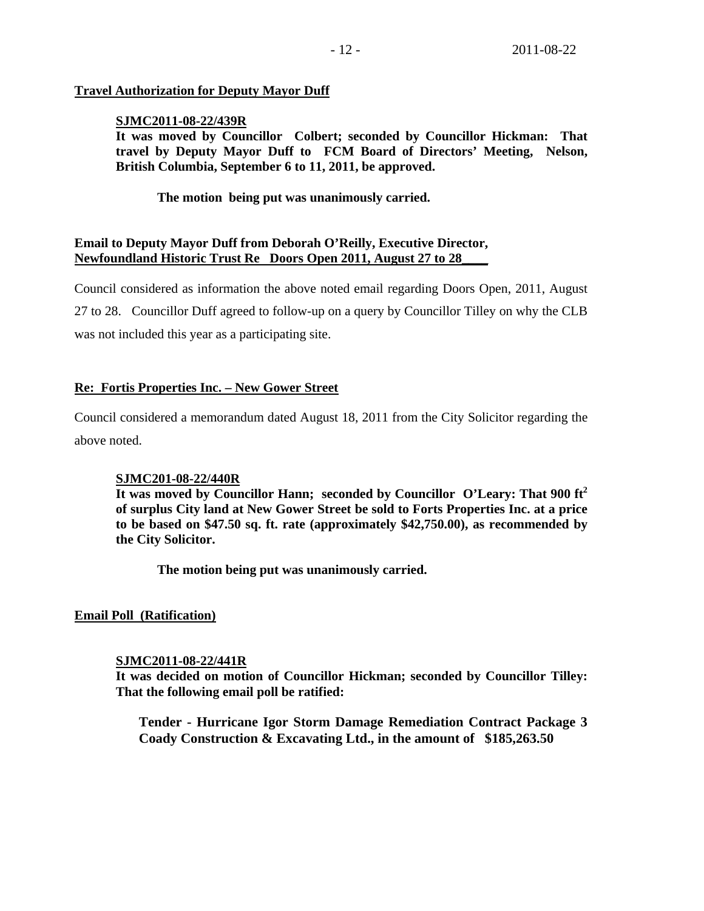# **Travel Authorization for Deputy Mayor Duff**

# **SJMC2011-08-22/439R**

**It was moved by Councillor Colbert; seconded by Councillor Hickman: That travel by Deputy Mayor Duff to FCM Board of Directors' Meeting, Nelson, British Columbia, September 6 to 11, 2011, be approved.** 

 **The motion being put was unanimously carried.** 

# **Email to Deputy Mayor Duff from Deborah O'Reilly, Executive Director, Newfoundland Historic Trust Re Doors Open 2011, August 27 to 28\_\_\_\_**

Council considered as information the above noted email regarding Doors Open, 2011, August 27 to 28. Councillor Duff agreed to follow-up on a query by Councillor Tilley on why the CLB was not included this year as a participating site.

# **Re: Fortis Properties Inc. – New Gower Street**

Council considered a memorandum dated August 18, 2011 from the City Solicitor regarding the above noted.

# **SJMC201-08-22/440R**

**It was moved by Councillor Hann; seconded by Councillor O'Leary: That 900 ft2 of surplus City land at New Gower Street be sold to Forts Properties Inc. at a price to be based on \$47.50 sq. ft. rate (approximately \$42,750.00), as recommended by the City Solicitor.** 

 **The motion being put was unanimously carried.** 

# **Email Poll (Ratification)**

# **SJMC2011-08-22/441R**

**It was decided on motion of Councillor Hickman; seconded by Councillor Tilley: That the following email poll be ratified:** 

**Tender - Hurricane Igor Storm Damage Remediation Contract Package 3 Coady Construction & Excavating Ltd., in the amount of \$185,263.50**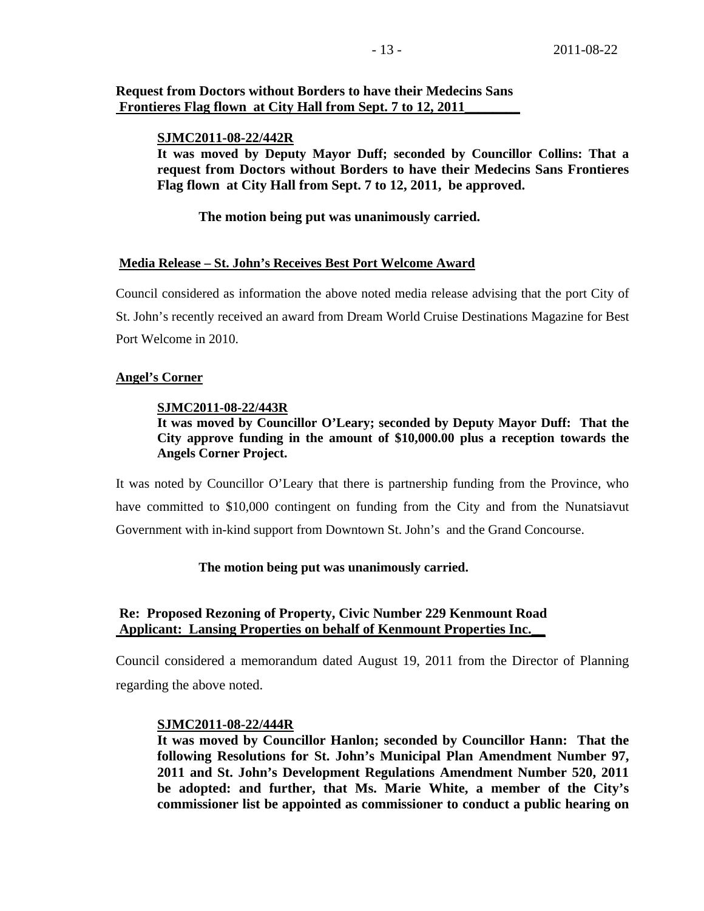# **Request from Doctors without Borders to have their Medecins Sans Frontieres Flag flown at City Hall from Sept. 7 to 12, 2011**

#### **SJMC2011-08-22/442R**

**It was moved by Deputy Mayor Duff; seconded by Councillor Collins: That a request from Doctors without Borders to have their Medecins Sans Frontieres Flag flown at City Hall from Sept. 7 to 12, 2011, be approved.** 

### **The motion being put was unanimously carried.**

### **Media Release – St. John's Receives Best Port Welcome Award**

Council considered as information the above noted media release advising that the port City of St. John's recently received an award from Dream World Cruise Destinations Magazine for Best Port Welcome in 2010.

#### **Angel's Corner**

#### **SJMC2011-08-22/443R**

# **It was moved by Councillor O'Leary; seconded by Deputy Mayor Duff: That the City approve funding in the amount of \$10,000.00 plus a reception towards the Angels Corner Project.**

It was noted by Councillor O'Leary that there is partnership funding from the Province, who have committed to \$10,000 contingent on funding from the City and from the Nunatsiavut Government with in-kind support from Downtown St. John's and the Grand Concourse.

#### **The motion being put was unanimously carried.**

# **Re: Proposed Rezoning of Property, Civic Number 229 Kenmount Road Applicant: Lansing Properties on behalf of Kenmount Properties Inc.\_\_**

Council considered a memorandum dated August 19, 2011 from the Director of Planning regarding the above noted.

#### **SJMC2011-08-22/444R**

**It was moved by Councillor Hanlon; seconded by Councillor Hann: That the following Resolutions for St. John's Municipal Plan Amendment Number 97, 2011 and St. John's Development Regulations Amendment Number 520, 2011 be adopted: and further, that Ms. Marie White, a member of the City's commissioner list be appointed as commissioner to conduct a public hearing on**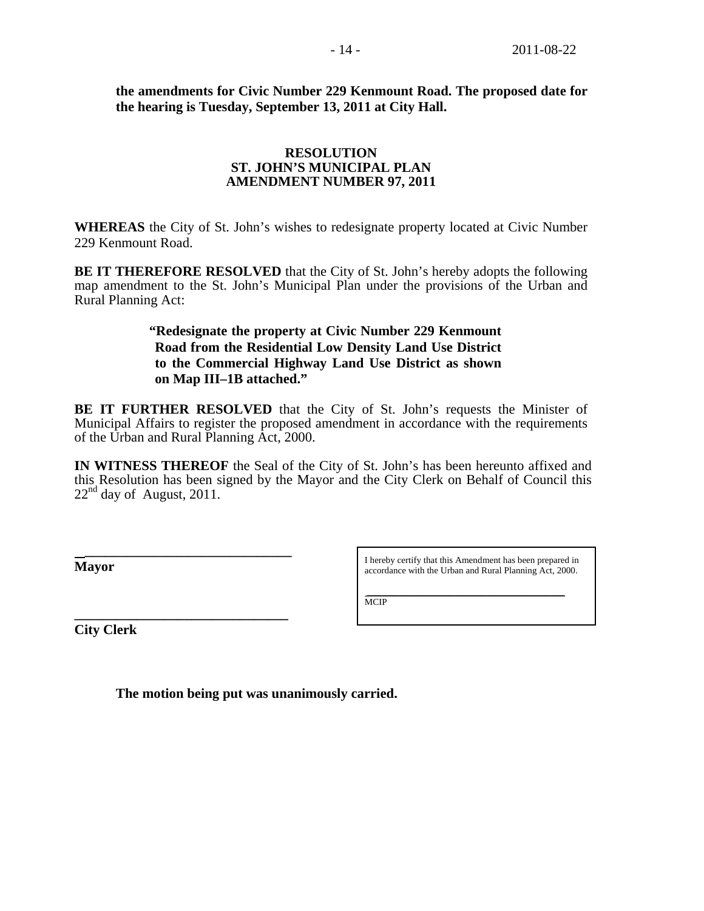**the amendments for Civic Number 229 Kenmount Road. The proposed date for the hearing is Tuesday, September 13, 2011 at City Hall.** 

# **RESOLUTION ST. JOHN'S MUNICIPAL PLAN AMENDMENT NUMBER 97, 2011**

**WHEREAS** the City of St. John's wishes to redesignate property located at Civic Number 229 Kenmount Road.

**BE IT THEREFORE RESOLVED** that the City of St. John's hereby adopts the following map amendment to the St. John's Municipal Plan under the provisions of the Urban and Rural Planning Act:

# **"Redesignate the property at Civic Number 229 Kenmount Road from the Residential Low Density Land Use District to the Commercial Highway Land Use District as shown on Map III–1B attached."**

**BE IT FURTHER RESOLVED** that the City of St. John's requests the Minister of Municipal Affairs to register the proposed amendment in accordance with the requirements of the Urban and Rural Planning Act, 2000.

**IN WITNESS THEREOF** the Seal of the City of St. John's has been hereunto affixed and this Resolution has been signed by the Mayor and the City Clerk on Behalf of Council this  $22<sup>nd</sup>$  day of August, 2011.

**Mayor** 

I hereby certify that this Amendment has been prepared in accordance with the Urban and Rural Planning Act, 2000.

\_\_\_\_\_\_\_\_\_\_\_\_\_\_\_\_\_\_\_\_\_\_\_\_\_\_\_\_\_\_\_\_\_\_\_\_\_\_\_\_\_\_\_

**MCIP** 

**City Clerk** 

**\_\_\_\_\_\_\_\_\_\_\_\_\_\_\_\_\_\_\_\_\_\_\_\_\_\_\_\_\_\_\_** 

 **The motion being put was unanimously carried.**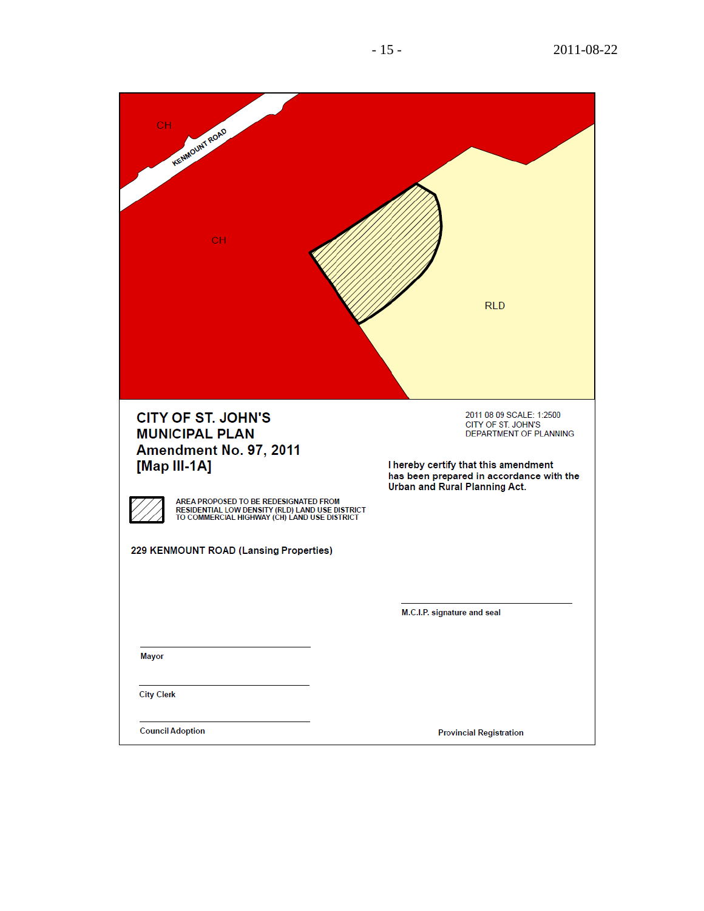| <b>CH</b><br>KENMOUNT ROAD<br><b>CH</b>                                                                                                  | <b>RLD</b>                                                                                                        |
|------------------------------------------------------------------------------------------------------------------------------------------|-------------------------------------------------------------------------------------------------------------------|
| <b>CITY OF ST. JOHN'S</b><br><b>MUNICIPAL PLAN</b><br>Amendment No. 97, 2011                                                             | 2011 08 09 SCALE: 1:2500<br>CITY OF ST. JOHN'S<br>DEPARTMENT OF PLANNING                                          |
| [Map III-1A]                                                                                                                             | I hereby certify that this amendment<br>has been prepared in accordance with the<br>Urban and Rural Planning Act. |
| AREA PROPOSED TO BE REDESIGNATED FROM<br>RESIDENTIAL LOW DENSITY (RLD) LAND USE DISTRICT<br>TO COMMERCIAL HIGHWAY (CH) LAND USE DISTRICT |                                                                                                                   |
| 229 KENMOUNT ROAD (Lansing Properties)                                                                                                   |                                                                                                                   |
|                                                                                                                                          |                                                                                                                   |
|                                                                                                                                          | M.C.I.P. signature and seal                                                                                       |
| <b>Mayor</b>                                                                                                                             |                                                                                                                   |
| <b>City Clerk</b>                                                                                                                        |                                                                                                                   |
| <b>Council Adoption</b>                                                                                                                  | <b>Provincial Registration</b>                                                                                    |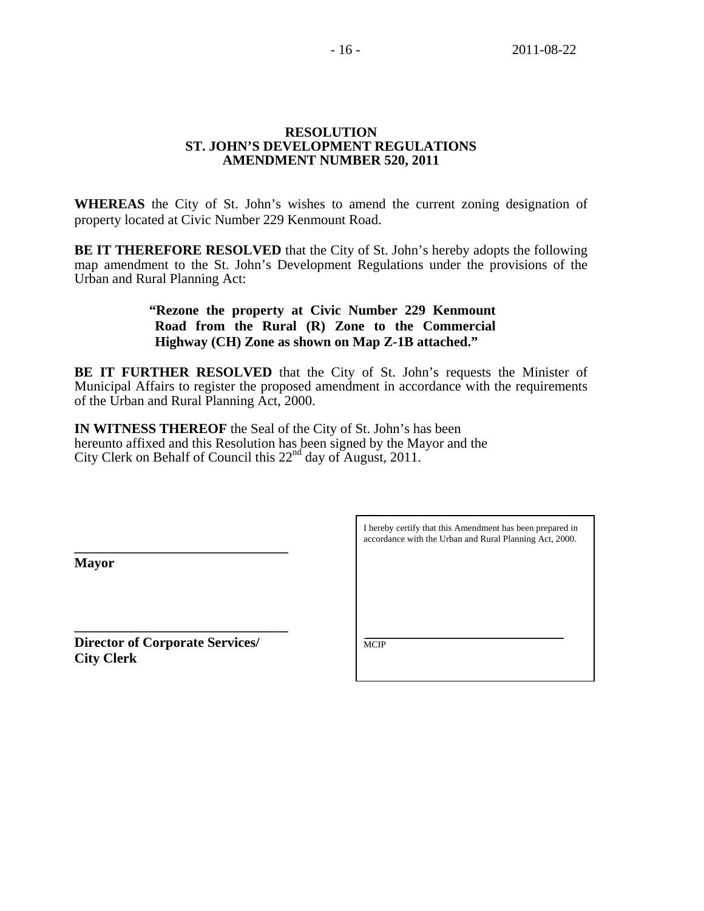### **RESOLUTION ST. JOHN'S DEVELOPMENT REGULATIONS AMENDMENT NUMBER 520, 2011**

**WHEREAS** the City of St. John's wishes to amend the current zoning designation of property located at Civic Number 229 Kenmount Road.

**BE IT THEREFORE RESOLVED** that the City of St. John's hereby adopts the following map amendment to the St. John's Development Regulations under the provisions of the Urban and Rural Planning Act:

# **"Rezone the property at Civic Number 229 Kenmount Road from the Rural (R) Zone to the Commercial Highway (CH) Zone as shown on Map Z-1B attached."**

**BE IT FURTHER RESOLVED** that the City of St. John's requests the Minister of Municipal Affairs to register the proposed amendment in accordance with the requirements of the Urban and Rural Planning Act, 2000.

**IN WITNESS THEREOF** the Seal of the City of St. John's has been hereunto affixed and this Resolution has been signed by the Mayor and the City Clerk on Behalf of Council this  $22<sup>nd</sup>$  day of August, 2011.

**Mayor** 

\_\_\_\_\_\_\_\_\_\_\_\_\_\_\_\_\_\_\_\_\_\_\_\_\_\_\_\_\_\_\_\_\_\_\_\_\_\_\_\_\_\_\_ **\_\_\_\_\_\_\_\_\_\_\_\_\_\_\_\_\_\_\_\_\_\_\_\_\_\_\_\_\_\_\_ Director of Corporate Services/**  $\sqrt{\frac{MCP}{MCP}}$ **City Clerk** 

**\_\_\_\_\_\_\_\_\_\_\_\_\_\_\_\_\_\_\_\_\_\_\_\_\_\_\_\_\_\_\_** 

I hereby certify that this Amendment has been prepared in accordance with the Urban and Rural Planning Act, 2000.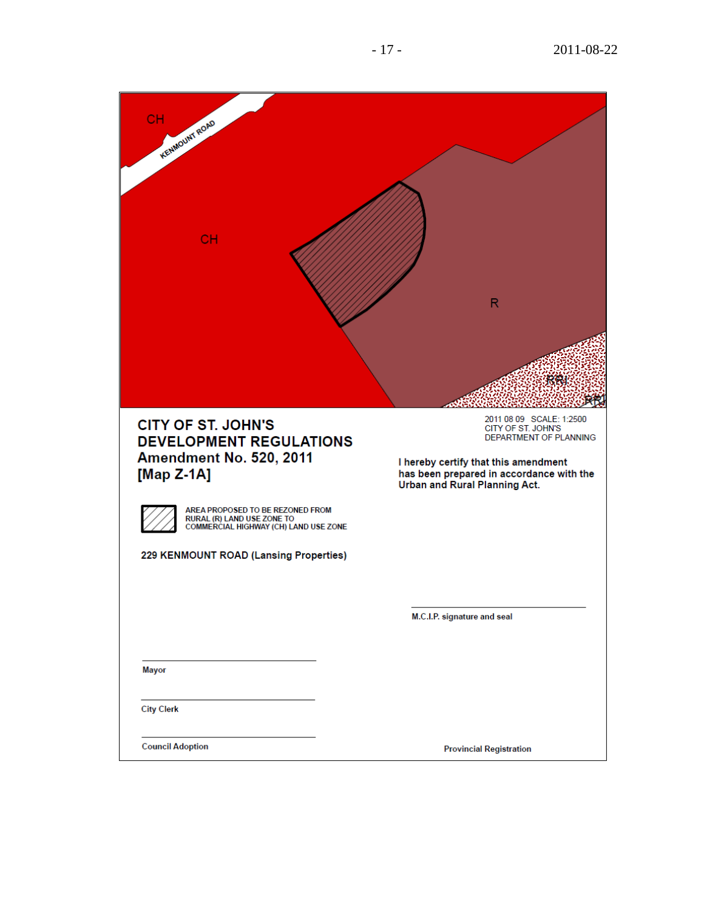| <b>CH</b><br><b>KENMOUNT ROAD</b><br>CH                                                                 | $\mathsf{R}$                                                                                                                                                                                  |
|---------------------------------------------------------------------------------------------------------|-----------------------------------------------------------------------------------------------------------------------------------------------------------------------------------------------|
|                                                                                                         | 擦脚                                                                                                                                                                                            |
| <b>CITY OF ST. JOHN'S</b><br><b>DEVELOPMENT REGULATIONS</b><br>Amendment No. 520, 2011<br>[Map Z-1A]    | 2011 08 09 SCALE: 1:2500<br>CITY OF ST. JOHN'S<br>DEPARTMENT OF PLANNING<br>I hereby certify that this amendment<br>has been prepared in accordance with the<br>Urban and Rural Planning Act. |
| AREA PROPOSED TO BE REZONED FROM<br>RURAL (R) LAND USE ZONE TO<br>COMMERCIAL HIGHWAY (CH) LAND USE ZONE |                                                                                                                                                                                               |
| 229 KENMOUNT ROAD (Lansing Properties)                                                                  |                                                                                                                                                                                               |
|                                                                                                         | M.C.I.P. signature and seal                                                                                                                                                                   |
| <b>Mayor</b>                                                                                            |                                                                                                                                                                                               |
| <b>City Clerk</b>                                                                                       |                                                                                                                                                                                               |
| <b>Council Adoption</b>                                                                                 | <b>Provincial Registration</b>                                                                                                                                                                |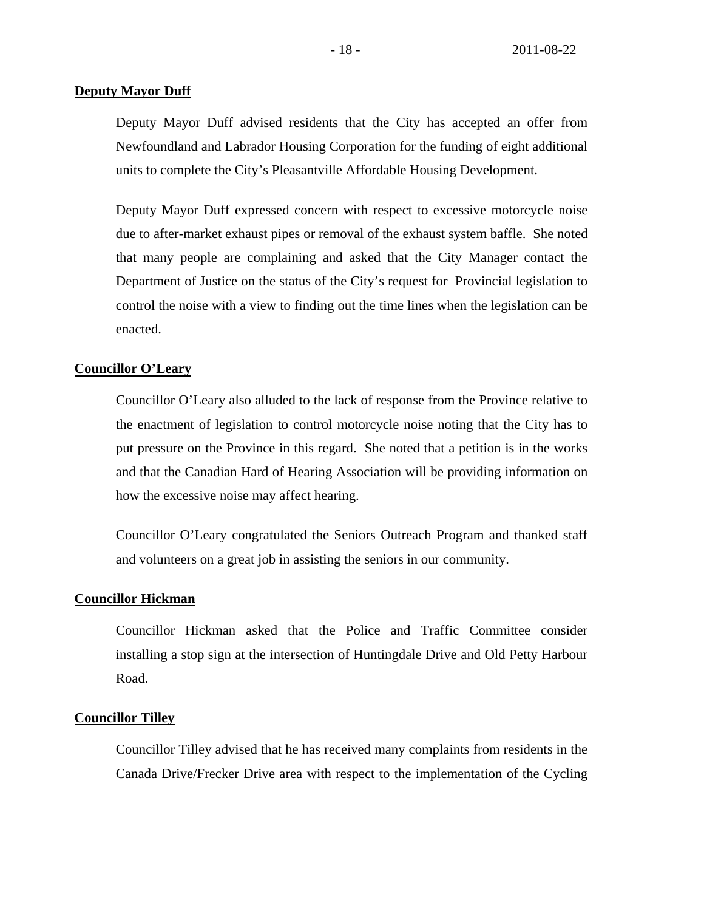### **Deputy Mayor Duff**

Deputy Mayor Duff advised residents that the City has accepted an offer from Newfoundland and Labrador Housing Corporation for the funding of eight additional units to complete the City's Pleasantville Affordable Housing Development.

Deputy Mayor Duff expressed concern with respect to excessive motorcycle noise due to after-market exhaust pipes or removal of the exhaust system baffle. She noted that many people are complaining and asked that the City Manager contact the Department of Justice on the status of the City's request for Provincial legislation to control the noise with a view to finding out the time lines when the legislation can be enacted.

#### **Councillor O'Leary**

Councillor O'Leary also alluded to the lack of response from the Province relative to the enactment of legislation to control motorcycle noise noting that the City has to put pressure on the Province in this regard. She noted that a petition is in the works and that the Canadian Hard of Hearing Association will be providing information on how the excessive noise may affect hearing.

Councillor O'Leary congratulated the Seniors Outreach Program and thanked staff and volunteers on a great job in assisting the seniors in our community.

# **Councillor Hickman**

Councillor Hickman asked that the Police and Traffic Committee consider installing a stop sign at the intersection of Huntingdale Drive and Old Petty Harbour Road.

#### **Councillor Tilley**

Councillor Tilley advised that he has received many complaints from residents in the Canada Drive/Frecker Drive area with respect to the implementation of the Cycling